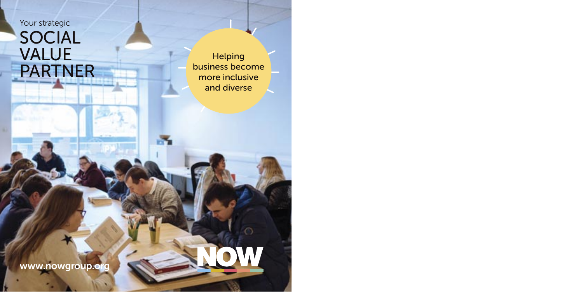Your strategic

# SOCIAL VALUE PARTNER

Helping business become more inclusive and diverse

m

www.nowgroup.org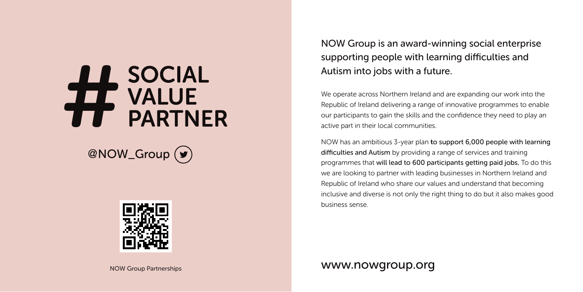# H SOCIAL<br>H VALUE<br>TH PARTNER

@NOW\_Group (y)



NOW Group is an award-winning social enterprise supporting people with learning difficulties and Autism into jobs with a future.

We operate across Northern Ireland and are expanding our work into the Republic of Ireland delivering a range of innovative programmes to enable our participants to gain the skills and the confidence they need to play an active part in their local communities.

NOW has an ambitious 3-year plan to support 6,000 people with learning difficulties and Autism by providing a range of services and training programmes that will lead to 600 participants getting paid jobs. To do this we are looking to partner with leading businesses in Northern Ireland and Republic of Ireland who share our values and understand that becoming inclusive and diverse is not only the right thing to do but it also makes good business sense.

NOW Group Partnerships

www.nowgroup.org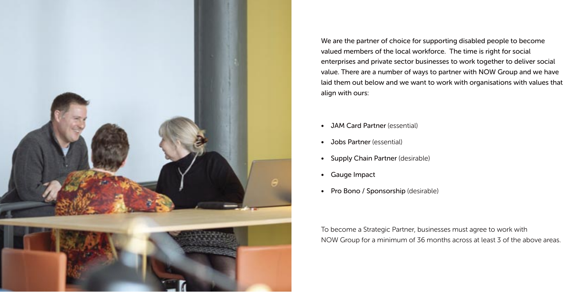

We are the partner of choice for supporting disabled people to become valued members of the local workforce. The time is right for social enterprises and private sector businesses to work together to deliver social value. There are a number of ways to partner with NOW Group and we have laid them out below and we want to work with organisations with values that align with ours:

- JAM Card Partner (essential)
- Jobs Partner (essential)
- Supply Chain Partner (desirable)
- Gauge Impact
- Pro Bono / Sponsorship (desirable)

To become a Strategic Partner, businesses must agree to work with NOW Group for a minimum of 36 months across at least 3 of the above areas.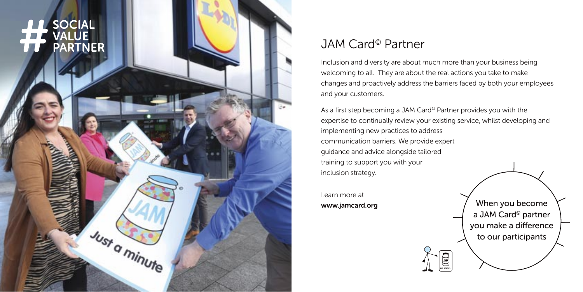

### JAM Card© Partner

Inclusion and diversity are about much more than your business being welcoming to all. They are about the real actions you take to make changes and proactively address the barriers faced by both your employees and your customers.

As a first step becoming a JAM Card<sup>®</sup> Partner provides you with the expertise to continually review your existing service, whilst developing and implementing new practices to address communication barriers. We provide expert guidance and advice alongside tailored training to support you with your inclusion strategy.

 $\sum_{k=0}^{n}$ 

Learn more at

www.jamcard.org  $/$  When you become a JAM Card© partner you make a difference to our participants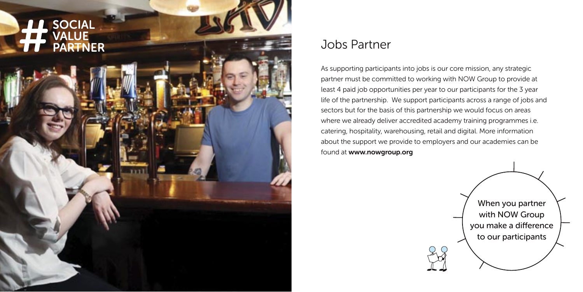

#### Jobs Partner

As supporting participants into jobs is our core mission, any strategic partner must be committed to working with NOW Group to provide at least 4 paid job opportunities per year to our participants for the 3 year life of the partnership. We support participants across a range of jobs and sectors but for the basis of this partnership we would focus on areas where we already deliver accredited academy training programmes i.e. catering, hospitality, warehousing, retail and digital. More information about the support we provide to employers and our academies can be found at www.nowgroup.org

> When you partner with NOW Group you make a difference to our participants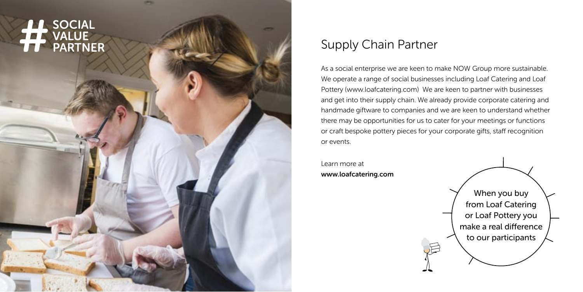# SOCIAL<br>VALUE<br>PARTNER

## Supply Chain Partner

As a social enterprise we are keen to make NOW Group more sustainable. We operate a range of social businesses including Loaf Catering and Loaf Pottery (www.loafcatering.com) We are keen to partner with businesses and get into their supply chain. We already provide corporate catering and handmade giftware to companies and we are keen to understand whether there may be opportunities for us to cater for your meetings or functions or craft bespoke pottery pieces for your corporate gifts, staff recognition or events.

Learn more at www.loafcatering.com

When you buy from Loaf Catering or Loaf Pottery you make a real difference to our participants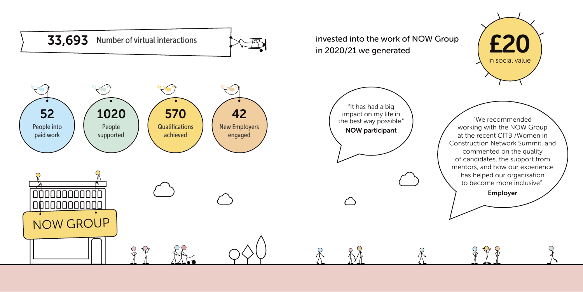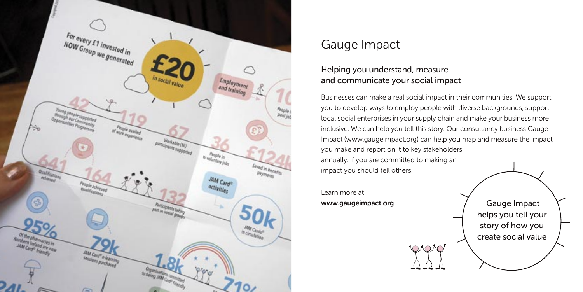

### Gauge Impact

#### Helping you understand, measure and communicate your social impact

Businesses can make a real social impact in their communities. We support you to develop ways to employ people with diverse backgrounds, support local social enterprises in your supply chain and make your business more inclusive. We can help you tell this story. Our consultancy business Gauge Impact (www.gaugeimpact.org) can help you map and measure the impact you make and report on it to key stakeholders annually. If you are committed to making an impact you should tell others.

**OAOAO** 

Learn more at www.gaugeimpact.org  $\sqrt{ }$  Gauge Impact

helps you tell your story of how you create social value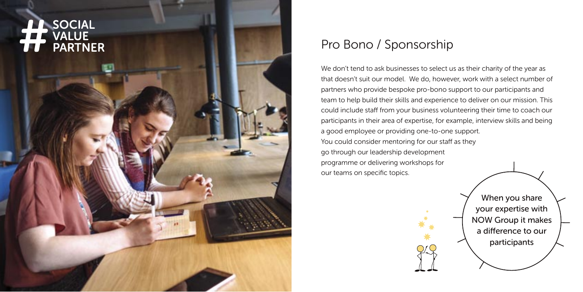

# Pro Bono / Sponsorship

We don't tend to ask businesses to select us as their charity of the year as that doesn't suit our model. We do, however, work with a select number of partners who provide bespoke pro-bono support to our participants and team to help build their skills and experience to deliver on our mission. This could include staff from your business volunteering their time to coach our participants in their area of expertise, for example, interview skills and being a good employee or providing one-to-one support. You could consider mentoring for our staff as they go through our leadership development programme or delivering workshops for our teams on specific topics.

> When you share your expertise with NOW Group it makes a difference to our participants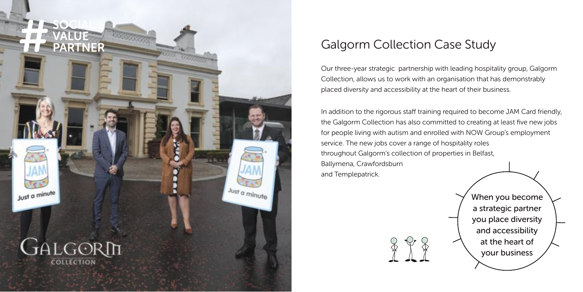

# Galgorm Collection Case Study

Our three-year strategic partnership with leading hospitality group, Galgorm Collection, allows us to work with an organisation that has demonstrably placed diversity and accessibility at the heart of their business.

In addition to the rigorous staff training required to become JAM Card friendly, the Galgorm Collection has also committed to creating at least five new jobs for people living with autism and enrolled with NOW Group's employment service. The new jobs cover a range of hospitality roles throughout Galgorm's collection of properties in Belfast, Ballymena, Crawfordsburn and Templepatrick.



When you become a strategic partner you place diversity and accessibility at the heart of your business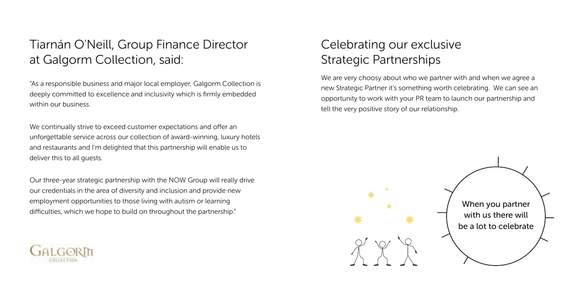# Tiarnán O'Neill, Group Finance Director at Galgorm Collection, said:

"As a responsible business and major local employer, Galgorm Collection is deeply committed to excellence and inclusivity which is firmly embedded within our business.

We continually strive to exceed customer expectations and offer an unforgettable service across our collection of award-winning, luxury hotels and restaurants and I'm delighted that this partnership will enable us to deliver this to all guests.

Our three-year strategic partnership with the NOW Group will really drive our credentials in the area of diversity and inclusion and provide new employment opportunities to those living with autism or learning difficulties, which we hope to build on throughout the partnership."



# Celebrating our exclusive Strategic Partnerships

We are very choosy about who we partner with and when we agree a new Strategic Partner it's something worth celebrating. We can see an opportunity to work with your PR team to launch our partnership and tell the very positive story of our relationship.

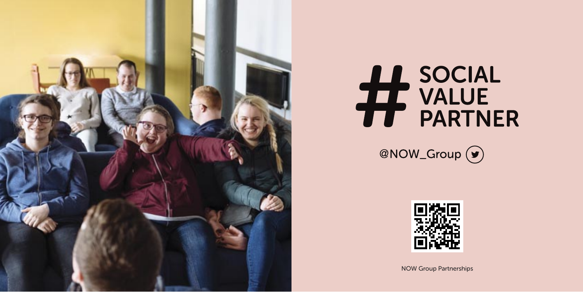

# H SOCIAL<br>H VALUE<br>H PARTNER





NOW Group Partnerships